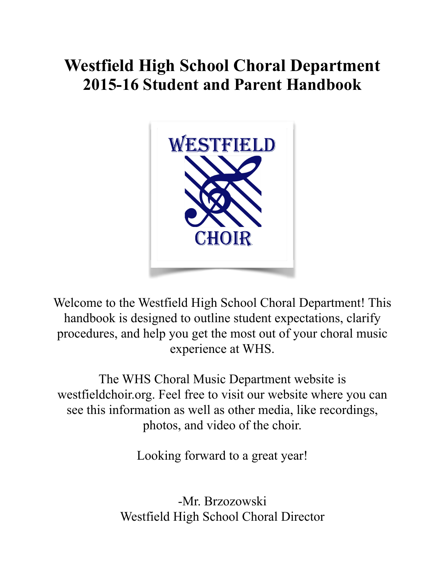# **Westfield High School Choral Department 2015-16 Student and Parent Handbook**



Welcome to the Westfield High School Choral Department! This handbook is designed to outline student expectations, clarify procedures, and help you get the most out of your choral music experience at WHS.

The WHS Choral Music Department website is westfieldchoir.org. Feel free to visit our website where you can see this information as well as other media, like recordings, photos, and video of the choir.

Looking forward to a great year!

-Mr. Brzozowski Westfield High School Choral Director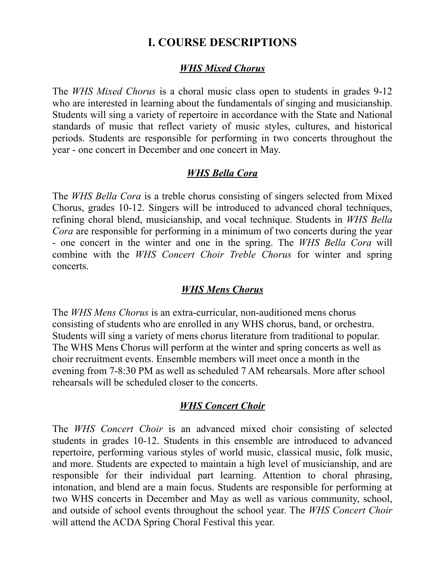# **I. COURSE DESCRIPTIONS**

#### *WHS Mixed Chorus*

The *WHS Mixed Chorus* is a choral music class open to students in grades 9-12 who are interested in learning about the fundamentals of singing and musicianship. Students will sing a variety of repertoire in accordance with the State and National standards of music that reflect variety of music styles, cultures, and historical periods. Students are responsible for performing in two concerts throughout the year - one concert in December and one concert in May.

## *WHS Bella Cora*

The *WHS Bella Cora* is a treble chorus consisting of singers selected from Mixed Chorus, grades 10-12. Singers will be introduced to advanced choral techniques, refining choral blend, musicianship, and vocal technique. Students in *WHS Bella Cora* are responsible for performing in a minimum of two concerts during the year - one concert in the winter and one in the spring. The *WHS Bella Cora* will combine with the *WHS Concert Choir Treble Chorus* for winter and spring concerts.

### *WHS Mens Chorus*

The *WHS Mens Chorus* is an extra-curricular, non-auditioned mens chorus consisting of students who are enrolled in any WHS chorus, band, or orchestra. Students will sing a variety of mens chorus literature from traditional to popular. The WHS Mens Chorus will perform at the winter and spring concerts as well as choir recruitment events. Ensemble members will meet once a month in the evening from 7-8:30 PM as well as scheduled 7 AM rehearsals. More after school rehearsals will be scheduled closer to the concerts.

### *WHS Concert Choir*

The *WHS Concert Choir* is an advanced mixed choir consisting of selected students in grades 10-12. Students in this ensemble are introduced to advanced repertoire, performing various styles of world music, classical music, folk music, and more. Students are expected to maintain a high level of musicianship, and are responsible for their individual part learning. Attention to choral phrasing, intonation, and blend are a main focus. Students are responsible for performing at two WHS concerts in December and May as well as various community, school, and outside of school events throughout the school year. The *WHS Concert Choir*  will attend the ACDA Spring Choral Festival this year.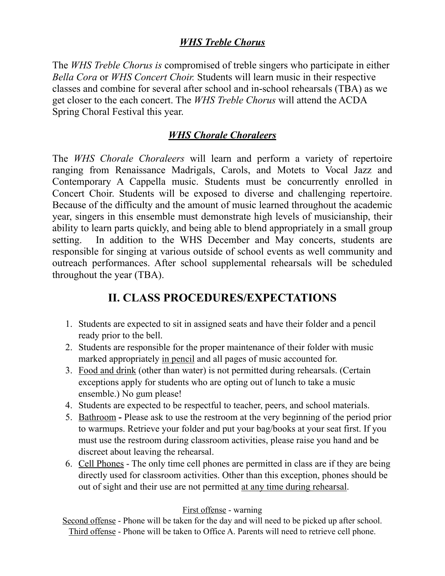# *WHS Treble Chorus*

The *WHS Treble Chorus is* compromised of treble singers who participate in either *Bella Cora* or *WHS Concert Choir.* Students will learn music in their respective classes and combine for several after school and in-school rehearsals (TBA) as we get closer to the each concert. The *WHS Treble Chorus* will attend the ACDA Spring Choral Festival this year.

# *WHS Chorale Choraleers*

The *WHS Chorale Choraleers* will learn and perform a variety of repertoire ranging from Renaissance Madrigals, Carols, and Motets to Vocal Jazz and Contemporary A Cappella music. Students must be concurrently enrolled in Concert Choir. Students will be exposed to diverse and challenging repertoire. Because of the difficulty and the amount of music learned throughout the academic year, singers in this ensemble must demonstrate high levels of musicianship, their ability to learn parts quickly, and being able to blend appropriately in a small group setting. In addition to the WHS December and May concerts, students are responsible for singing at various outside of school events as well community and outreach performances. After school supplemental rehearsals will be scheduled throughout the year (TBA).

# **II. CLASS PROCEDURES/EXPECTATIONS**

- 1. Students are expected to sit in assigned seats and have their folder and a pencil ready prior to the bell.
- 2. Students are responsible for the proper maintenance of their folder with music marked appropriately in pencil and all pages of music accounted for.
- 3. Food and drink (other than water) is not permitted during rehearsals. (Certain exceptions apply for students who are opting out of lunch to take a music ensemble.) No gum please!
- 4. Students are expected to be respectful to teacher, peers, and school materials.
- 5. BathroomPlease ask to use the restroom at the very beginning of the period prior to warmups. Retrieve your folder and put your bag/books at your seat first. If you must use the restroom during classroom activities, please raise you hand and be discreet about leaving the rehearsal.
- 6. Cell Phones The only time cell phones are permitted in class are if they are being directly used for classroom activities. Other than this exception, phones should be out of sight and their use are not permitted at any time during rehearsal.

### First offense - warning

Second offense - Phone will be taken for the day and will need to be picked up after school. Third offense - Phone will be taken to Office A. Parents will need to retrieve cell phone.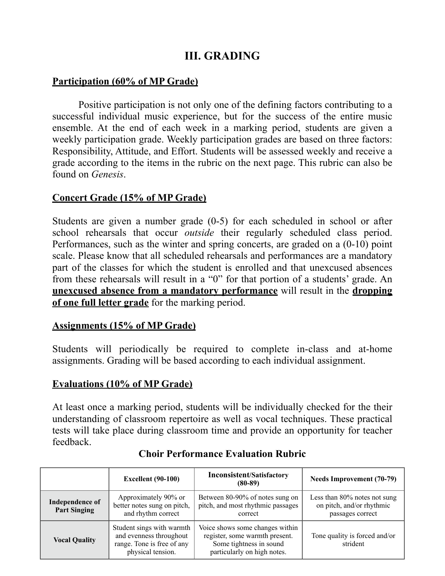# **III. GRADING**

## **Participation (60% of MP Grade)**

Positive participation is not only one of the defining factors contributing to a successful individual music experience, but for the success of the entire music ensemble. At the end of each week in a marking period, students are given a weekly participation grade. Weekly participation grades are based on three factors: Responsibility, Attitude, and Effort. Students will be assessed weekly and receive a grade according to the items in the rubric on the next page. This rubric can also be found on *Genesis*.

### **Concert Grade (15% of MP Grade)**

Students are given a number grade (0-5) for each scheduled in school or after school rehearsals that occur *outside* their regularly scheduled class period. Performances, such as the winter and spring concerts, are graded on a (0-10) point scale. Please know that all scheduled rehearsals and performances are a mandatory part of the classes for which the student is enrolled and that unexcused absences from these rehearsals will result in a "0" for that portion of a students' grade. An **unexcused absence from a mandatory performance** will result in the **dropping of one full letter grade** for the marking period.

## **Assignments (15% of MP Grade)**

Students will periodically be required to complete in-class and at-home assignments. Grading will be based according to each individual assignment.

## **Evaluations (10% of MP Grade)**

At least once a marking period, students will be individually checked for the their understanding of classroom repertoire as well as vocal techniques. These practical tests will take place during classroom time and provide an opportunity for teacher feedback.

|                                        | <b>Excellent</b> (90-100)                                                                               | <b>Inconsistent/Satisfactory</b><br>$(80-89)$                                                                               | <b>Needs Improvement (70-79)</b>                                              |
|----------------------------------------|---------------------------------------------------------------------------------------------------------|-----------------------------------------------------------------------------------------------------------------------------|-------------------------------------------------------------------------------|
| Independence of<br><b>Part Singing</b> | Approximately 90% or<br>better notes sung on pitch,<br>and rhythm correct                               | Between 80-90% of notes sung on<br>pitch, and most rhythmic passages<br>correct                                             | Less than 80% notes not sung<br>on pitch, and/or rhythmic<br>passages correct |
| <b>Vocal Quality</b>                   | Student sings with warmth<br>and evenness throughout<br>range. Tone is free of any<br>physical tension. | Voice shows some changes within<br>register, some warmth present.<br>Some tightness in sound<br>particularly on high notes. | Tone quality is forced and/or<br>strident                                     |

## **Choir Performance Evaluation Rubric**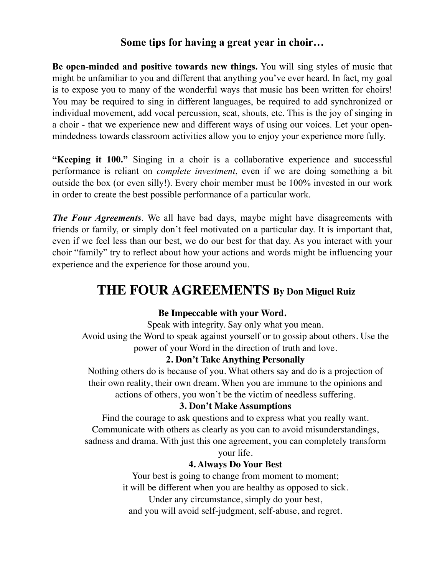## **Some tips for having a great year in choir…**

**Be open-minded and positive towards new things.** You will sing styles of music that might be unfamiliar to you and different that anything you've ever heard. In fact, my goal is to expose you to many of the wonderful ways that music has been written for choirs! You may be required to sing in different languages, be required to add synchronized or individual movement, add vocal percussion, scat, shouts, etc. This is the joy of singing in a choir - that we experience new and different ways of using our voices. Let your openmindedness towards classroom activities allow you to enjoy your experience more fully.

**"Keeping it 100."** Singing in a choir is a collaborative experience and successful performance is reliant on *complete investment*, even if we are doing something a bit outside the box (or even silly!). Every choir member must be 100% invested in our work in order to create the best possible performance of a particular work.

*The Four Agreements*. We all have bad days, maybe might have disagreements with friends or family, or simply don't feel motivated on a particular day. It is important that, even if we feel less than our best, we do our best for that day. As you interact with your choir "family" try to reflect about how your actions and words might be influencing your experience and the experience for those around you.

# **THE FOUR AGREEMENTS By Don Miguel Ruiz**

### **Be Impeccable with your Word.**

Speak with integrity. Say only what you mean.

Avoid using the Word to speak against yourself or to gossip about others. Use the power of your Word in the direction of truth and love.

#### **2. Don't Take Anything Personally**

Nothing others do is because of you. What others say and do is a projection of their own reality, their own dream. When you are immune to the opinions and actions of others, you won't be the victim of needless suffering.

#### **3. Don't Make Assumptions**

Find the courage to ask questions and to express what you really want. Communicate with others as clearly as you can to avoid misunderstandings, sadness and drama. With just this one agreement, you can completely transform

your life.

#### **4. Always Do Your Best**

Your best is going to change from moment to moment; it will be different when you are healthy as opposed to sick. Under any circumstance, simply do your best, and you will avoid self-judgment, self-abuse, and regret.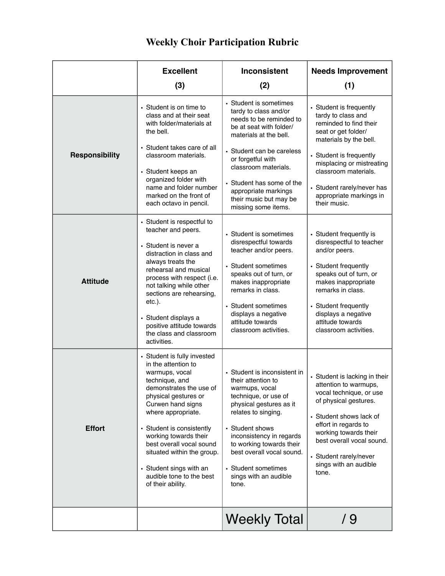# **Weekly Choir Participation Rubric**

|                       | <b>Excellent</b>                                                                                                                                                                                                                                                                                                                                                                 | <b>Inconsistent</b>                                                                                                                                                                                                                                                                                             | <b>Needs Improvement</b>                                                                                                                                                                                                                                                          |
|-----------------------|----------------------------------------------------------------------------------------------------------------------------------------------------------------------------------------------------------------------------------------------------------------------------------------------------------------------------------------------------------------------------------|-----------------------------------------------------------------------------------------------------------------------------------------------------------------------------------------------------------------------------------------------------------------------------------------------------------------|-----------------------------------------------------------------------------------------------------------------------------------------------------------------------------------------------------------------------------------------------------------------------------------|
|                       | (3)                                                                                                                                                                                                                                                                                                                                                                              | (2)                                                                                                                                                                                                                                                                                                             | (1)                                                                                                                                                                                                                                                                               |
| <b>Responsibility</b> | • Student is on time to<br>class and at their seat<br>with folder/materials at<br>the bell.<br>Student takes care of all<br>classroom materials.<br>• Student keeps an<br>organized folder with<br>name and folder number<br>marked on the front of<br>each octavo in pencil.                                                                                                    | • Student is sometimes<br>tardy to class and/or<br>needs to be reminded to<br>be at seat with folder/<br>materials at the bell.<br>• Student can be careless<br>or forgetful with<br>classroom materials.<br>• Student has some of the<br>appropriate markings<br>their music but may be<br>missing some items. | • Student is frequently<br>tardy to class and<br>reminded to find their<br>seat or get folder/<br>materials by the bell.<br>• Student is frequently<br>misplacing or mistreating<br>classroom materials.<br>• Student rarely/never has<br>appropriate markings in<br>their music. |
| <b>Attitude</b>       | • Student is respectful to<br>teacher and peers.<br>• Student is never a<br>distraction in class and<br>always treats the<br>rehearsal and musical<br>process with respect (i.e.<br>not talking while other<br>sections are rehearsing,<br>$etc.$ ).<br>Student displays a<br>positive attitude towards<br>the class and classroom<br>activities.                                | • Student is sometimes<br>disrespectful towards<br>teacher and/or peers.<br>• Student sometimes<br>speaks out of turn, or<br>makes inappropriate<br>remarks in class.<br>• Student sometimes<br>displays a negative<br>attitude towards<br>classroom activities.                                                | • Student frequently is<br>disrespectful to teacher<br>and/or peers.<br>• Student frequently<br>speaks out of turn, or<br>makes inappropriate<br>remarks in class.<br>• Student frequently<br>displays a negative<br>attitude towards<br>classroom activities.                    |
| <b>Effort</b>         | • Student is fully invested<br>in the attention to<br>warmups, vocal<br>technique, and<br>demonstrates the use of<br>physical gestures or<br>Curwen hand signs<br>where appropriate.<br>• Student is consistently<br>working towards their<br>best overall vocal sound<br>situated within the group.<br>• Student sings with an<br>audible tone to the best<br>of their ability. | • Student is inconsistent in<br>their attention to<br>warmups, vocal<br>technique, or use of<br>physical gestures as it<br>relates to singing.<br>• Student shows<br>inconsistency in regards<br>to working towards their<br>best overall vocal sound.<br>• Student sometimes<br>sings with an audible<br>tone. | • Student is lacking in their<br>attention to warmups,<br>vocal technique, or use<br>of physical gestures.<br>• Student shows lack of<br>effort in regards to<br>working towards their<br>best overall vocal sound.<br>• Student rarely/never<br>sings with an audible<br>tone.   |
|                       |                                                                                                                                                                                                                                                                                                                                                                                  | <b>Weekly Total</b>                                                                                                                                                                                                                                                                                             | / 9                                                                                                                                                                                                                                                                               |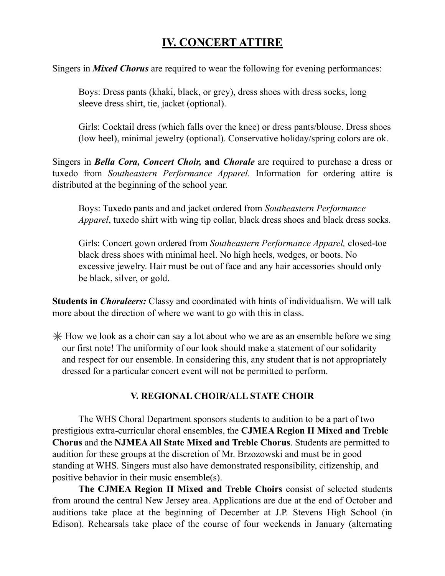# **IV. CONCERT ATTIRE**

Singers in *Mixed Chorus* are required to wear the following for evening performances:

Boys: Dress pants (khaki, black, or grey), dress shoes with dress socks, long sleeve dress shirt, tie, jacket (optional).

Girls: Cocktail dress (which falls over the knee) or dress pants/blouse. Dress shoes (low heel), minimal jewelry (optional). Conservative holiday/spring colors are ok.

Singers in *Bella Cora, Concert Choir,* **and** *Chorale* are required to purchase a dress or tuxedo from *Southeastern Performance Apparel.* Information for ordering attire is distributed at the beginning of the school year.

Boys: Tuxedo pants and and jacket ordered from *Southeastern Performance Apparel*, tuxedo shirt with wing tip collar, black dress shoes and black dress socks.

Girls: Concert gown ordered from *Southeastern Performance Apparel,* closed-toe black dress shoes with minimal heel. No high heels, wedges, or boots. No excessive jewelry. Hair must be out of face and any hair accessories should only be black, silver, or gold.

**Students in** *Choraleers:* Classy and coordinated with hints of individualism. We will talk more about the direction of where we want to go with this in class.

 $*$  How we look as a choir can say a lot about who we are as an ensemble before we sing our first note! The uniformity of our look should make a statement of our solidarity and respect for our ensemble. In considering this, any student that is not appropriately dressed for a particular concert event will not be permitted to perform.

#### **V. REGIONAL CHOIR/ALL STATE CHOIR**

The WHS Choral Department sponsors students to audition to be a part of two prestigious extra-curricular choral ensembles, the **CJMEA Region II Mixed and Treble Chorus** and the **NJMEA All State Mixed and Treble Chorus**. Students are permitted to audition for these groups at the discretion of Mr. Brzozowski and must be in good standing at WHS. Singers must also have demonstrated responsibility, citizenship, and positive behavior in their music ensemble(s).

**The CJMEA Region II Mixed and Treble Choirs** consist of selected students from around the central New Jersey area. Applications are due at the end of October and auditions take place at the beginning of December at J.P. Stevens High School (in Edison). Rehearsals take place of the course of four weekends in January (alternating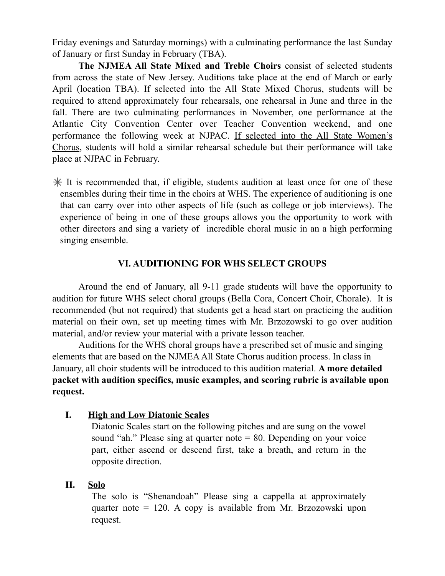Friday evenings and Saturday mornings) with a culminating performance the last Sunday of January or first Sunday in February (TBA).

**The NJMEA All State Mixed and Treble Choirs** consist of selected students from across the state of New Jersey. Auditions take place at the end of March or early April (location TBA). If selected into the All State Mixed Chorus, students will be required to attend approximately four rehearsals, one rehearsal in June and three in the fall. There are two culminating performances in November, one performance at the Atlantic City Convention Center over Teacher Convention weekend, and one performance the following week at NJPAC. If selected into the All State Women's Chorus, students will hold a similar rehearsal schedule but their performance will take place at NJPAC in February.

 $*$  It is recommended that, if eligible, students audition at least once for one of these ensembles during their time in the choirs at WHS. The experience of auditioning is one that can carry over into other aspects of life (such as college or job interviews). The experience of being in one of these groups allows you the opportunity to work with other directors and sing a variety of incredible choral music in an a high performing singing ensemble.

#### **VI. AUDITIONING FOR WHS SELECT GROUPS**

Around the end of January, all 9-11 grade students will have the opportunity to audition for future WHS select choral groups (Bella Cora, Concert Choir, Chorale). It is recommended (but not required) that students get a head start on practicing the audition material on their own, set up meeting times with Mr. Brzozowski to go over audition material, and/or review your material with a private lesson teacher.

 Auditions for the WHS choral groups have a prescribed set of music and singing elements that are based on the NJMEA All State Chorus audition process. In class in January, all choir students will be introduced to this audition material. **A more detailed packet with audition specifics, music examples, and scoring rubric is available upon request.** 

#### **I. High and Low Diatonic Scales**

Diatonic Scales start on the following pitches and are sung on the vowel sound "ah." Please sing at quarter note = 80. Depending on your voice part, either ascend or descend first, take a breath, and return in the opposite direction.

#### **II. Solo**

The solo is "Shenandoah" Please sing a cappella at approximately quarter note = 120. A copy is available from Mr. Brzozowski upon request.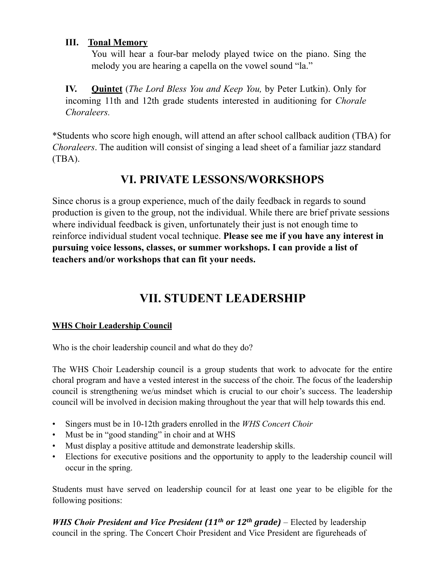#### **III. Tonal Memory**

You will hear a four-bar melody played twice on the piano. Sing the melody you are hearing a capella on the vowel sound "la."

**IV. Quintet** (*The Lord Bless You and Keep You,* by Peter Lutkin). Only for incoming 11th and 12th grade students interested in auditioning for *Chorale Choraleers.* 

\*Students who score high enough, will attend an after school callback audition (TBA) for *Choraleers*. The audition will consist of singing a lead sheet of a familiar jazz standard (TBA).

# **VI. PRIVATE LESSONS/WORKSHOPS**

Since chorus is a group experience, much of the daily feedback in regards to sound production is given to the group, not the individual. While there are brief private sessions where individual feedback is given, unfortunately their just is not enough time to reinforce individual student vocal technique. **Please see me if you have any interest in pursuing voice lessons, classes, or summer workshops. I can provide a list of teachers and/or workshops that can fit your needs.** 

# **VII. STUDENT LEADERSHIP**

### **WHS Choir Leadership Council**

Who is the choir leadership council and what do they do?

The WHS Choir Leadership council is a group students that work to advocate for the entire choral program and have a vested interest in the success of the choir. The focus of the leadership council is strengthening we/us mindset which is crucial to our choir's success. The leadership council will be involved in decision making throughout the year that will help towards this end.

- Singers must be in 10-12th graders enrolled in the *WHS Concert Choir*
- Must be in "good standing" in choir and at WHS
- Must display a positive attitude and demonstrate leadership skills.
- Elections for executive positions and the opportunity to apply to the leadership council will occur in the spring.

Students must have served on leadership council for at least one year to be eligible for the following positions:

*WHS Choir President and Vice President* (11<sup>th</sup> or 12<sup>th</sup> grade) – Elected by leadership council in the spring. The Concert Choir President and Vice President are figureheads of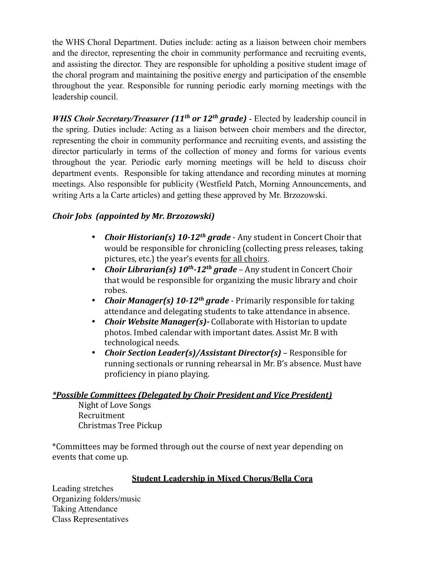the WHS Choral Department. Duties include: acting as a liaison between choir members and the director, representing the choir in community performance and recruiting events, and assisting the director. They are responsible for upholding a positive student image of the choral program and maintaining the positive energy and participation of the ensemble throughout the year. Responsible for running periodic early morning meetings with the leadership council.

*WHS Choir Secretary/Treasurer (11<sup>th</sup> or 12<sup>th</sup> grade)* - Elected by leadership council in the spring. Duties include: Acting as a liaison between choir members and the director, representing the choir in community performance and recruiting events, and assisting the director particularly in terms of the collection of money and forms for various events throughout the year. Periodic early morning meetings will be held to discuss choir department events. Responsible for taking attendance and recording minutes at morning meetings. Also responsible for publicity (Westfield Patch, Morning Announcements, and writing Arts a la Carte articles) and getting these approved by Mr. Brzozowski.

#### *Choir Jobs (appointed by Mr. Brzozowski)*

- *Choir Historian(s)* 10-12<sup>th</sup> grade Any student in Concert Choir that would be responsible for chronicling (collecting press releases, taking pictures, etc.) the year's events for all choirs.
- *Choir Librarian(s)* 10<sup>th</sup>-12<sup>th</sup> grade Any student in Concert Choir that would be responsible for organizing the music library and choir robes.
- *Choir Manager(s)* 10-12<sup>th</sup> grade Primarily responsible for taking attendance and delegating students to take attendance in absence.
- *Choir Website Manager(s)*-Collaborate with Historian to update photos. Imbed calendar with important dates. Assist Mr. B with technological needs.
- *Choir Section Leader(s)/Assistant Director(s)* Responsible for running sectionals or running rehearsal in Mr. B's absence. Must have proficiency in piano playing.

#### *\*Possible Committees (Delegated by Choir President and Vice President)*

Night of Love Songs Recruitment Christmas Tree Pickup 

\*Committees may be formed through out the course of next year depending on events that come up.

#### **Student Leadership in Mixed Chorus/Bella Cora**

Leading stretches Organizing folders/music Taking Attendance Class Representatives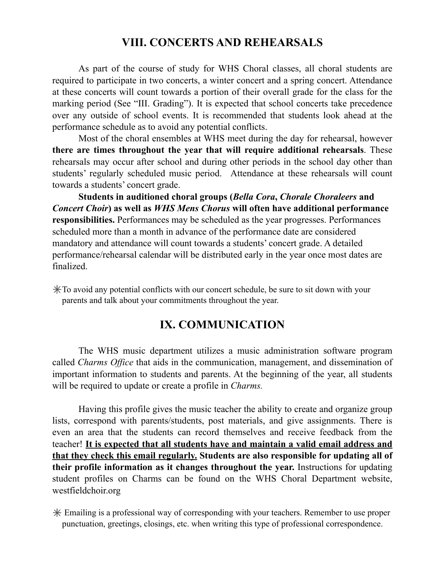# **VIII. CONCERTS AND REHEARSALS**

As part of the course of study for WHS Choral classes, all choral students are required to participate in two concerts, a winter concert and a spring concert. Attendance at these concerts will count towards a portion of their overall grade for the class for the marking period (See "III. Grading"). It is expected that school concerts take precedence over any outside of school events. It is recommended that students look ahead at the performance schedule as to avoid any potential conflicts.

Most of the choral ensembles at WHS meet during the day for rehearsal, however **there are times throughout the year that will require additional rehearsals**. These rehearsals may occur after school and during other periods in the school day other than students' regularly scheduled music period. Attendance at these rehearsals will count towards a students' concert grade.

**Students in auditioned choral groups (***Bella Cora***,** *Chorale Choraleers* **and** *Concert Choir***) as well as** *WHS Mens Chorus* **will often have additional performance responsibilities.** Performances may be scheduled as the year progresses. Performances scheduled more than a month in advance of the performance date are considered mandatory and attendance will count towards a students' concert grade. A detailed performance/rehearsal calendar will be distributed early in the year once most dates are finalized.

 $\angle$ To avoid any potential conflicts with our concert schedule, be sure to sit down with your parents and talk about your commitments throughout the year.

# **IX. COMMUNICATION**

The WHS music department utilizes a music administration software program called *Charms Office* that aids in the communication, management, and dissemination of important information to students and parents. At the beginning of the year, all students will be required to update or create a profile in *Charms.* 

Having this profile gives the music teacher the ability to create and organize group lists, correspond with parents/students, post materials, and give assignments. There is even an area that the students can record themselves and receive feedback from the teacher! **It is expected that all students have and maintain a valid email address and that they check this email regularly. Students are also responsible for updating all of their profile information as it changes throughout the year.** Instructions for updating student profiles on Charms can be found on the WHS Choral Department website, westfieldchoir.org

 Emailing is a professional way of corresponding with your teachers. Remember to use proper punctuation, greetings, closings, etc. when writing this type of professional correspondence.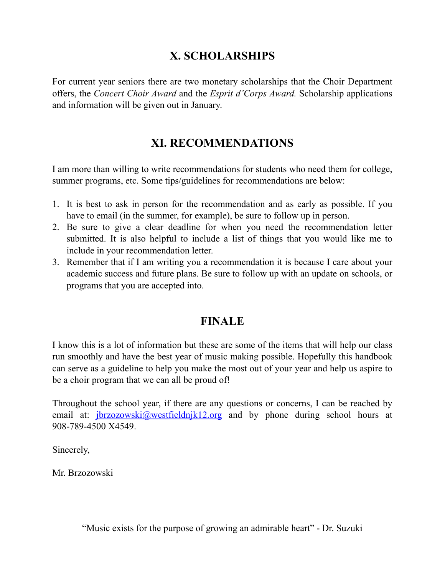# **X. SCHOLARSHIPS**

For current year seniors there are two monetary scholarships that the Choir Department offers, the *Concert Choir Award* and the *Esprit d'Corps Award.* Scholarship applications and information will be given out in January.

# **XI. RECOMMENDATIONS**

I am more than willing to write recommendations for students who need them for college, summer programs, etc. Some tips/guidelines for recommendations are below:

- 1. It is best to ask in person for the recommendation and as early as possible. If you have to email (in the summer, for example), be sure to follow up in person.
- 2. Be sure to give a clear deadline for when you need the recommendation letter submitted. It is also helpful to include a list of things that you would like me to include in your recommendation letter.
- 3. Remember that if I am writing you a recommendation it is because I care about your academic success and future plans. Be sure to follow up with an update on schools, or programs that you are accepted into.

# **FINALE**

I know this is a lot of information but these are some of the items that will help our class run smoothly and have the best year of music making possible. Hopefully this handbook can serve as a guideline to help you make the most out of your year and help us aspire to be a choir program that we can all be proud of!

Throughout the school year, if there are any questions or concerns, I can be reached by email at:  $\frac{i}{\text{brzozowski}}(a)$  westfieldnjk12.org and by phone during school hours at 908-789-4500 X4549.

Sincerely,

Mr. Brzozowski